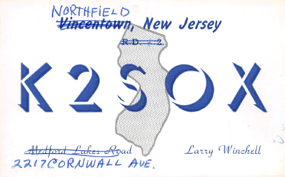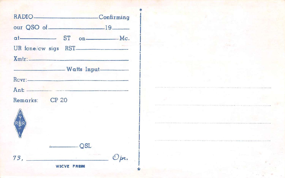| RADIO Confirming                 |                |  |
|----------------------------------|----------------|--|
| our QSO of 19                    |                |  |
| $at$ $ST$<br>UR fone/cw sigs RST | on-Mc.         |  |
|                                  |                |  |
|                                  |                |  |
|                                  |                |  |
|                                  |                |  |
| Remarks: CP 20                   |                |  |
|                                  |                |  |
| Arrest College                   |                |  |
| QSL<br>73.                       | $U$ <i>br.</i> |  |
| <b>WICVE PRESS</b>               |                |  |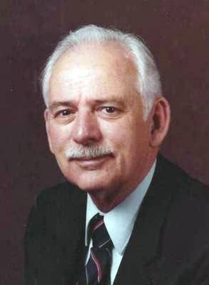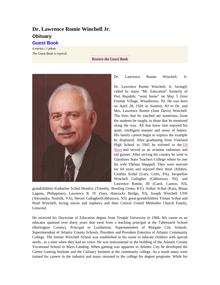## **Dr. Lawrence Romie Winchell Jr. Obituary**

## **[Guest Book](http://www.legacy.com/guestbooks/thedailyjournal/lawrence-romie-winchell-condolences/170937229?cid=full)**

*4 entries | 1 photo The Guest Book is expired.* 

## **Restore the Guest Book**



## Dr. Lawrence Romie Winchell, Jr.

Dr. Lawrence Romie Winchell, Jr. lovingly called by many "Mr. Education" formerly of Port Republic "went home" on May 5 from Friends Village, Woodstown, NJ. He was born on April 28, 1926 in Summit, NJ to Dr. and Mrs. Lawrence Romie (Jane Davis) Winchell. The lives that he touched are numerous...from the students he taught, to those that he mentored along the way. All that knew him enjoyed his quiet, intelligent manner and sense of humor. His family cannot begin to express the example he displayed. After graduating from Vineland High School in 1943 he enlisted in the [US](http://www.legacy.com/memorial-sites/navy/?personid=170937229&affiliateID=2614)  [Navy](http://www.legacy.com/memorial-sites/navy/?personid=170937229&affiliateID=2614) and served as an aviation radioman and tail gunner. After serving his country he went to Glassboro State Teachers College where he met his wife Thelma Shappell. They were married for 64 years and enjoyed their three children, Cynthia Scibal (Gary, Lititz, PA), Jacqueline Winchell Gallagher (Gibbstown, NJ), and Lawrence Romie, III (Carol, Canton, NJ),

grandchildren Katharine Scibal Hendrix (Timothy, Bowling Green, KY), Arthur Scibal (Kara, Binan Laguna, Philippines), Lawrence R. IV (Sara, Hancocks Bridge, NJ), Joseph Winchell USN (Alexandra, Norfolk, VA), Steven Gallagher(Gibbstown, NJ); great-grandchildren Tristan Scibal and Pearl Winchell; loving nieces and nephews and their Central United Methodist Church Family, Linwood.

He received his Doctorate of Education degree from Temple University in 1968. His career as an educator spanned over thirty years that went from a teaching principal at the Tabernacle School (Burlington County), Principal in Lumberton, Superintendent of Margate City Schools, Superintendent of Atlantic County Schools, President and President Emeritus of Atlantic Community College. The former Winchell School was established in his name to educate children with special needs...in a time when they had no voice. He was instrumental in the building of the Atlantic County Vocational School in Mays Landing. When gaming was apparent in Atlantic City he developed the Career Gaming Institute and the Culinary Institute at the community college. As a result many were trained for careers in the industry and many returned to the college for degree programs. While his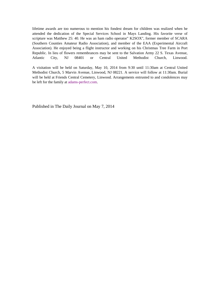lifetime awards are too numerous to mention his fondest dream for children was realized when he attended the dedication of the Special Services School in Mays Landing. His favorite verse of scripture was Matthew 25: 40. He was an ham radio operator" K2SOX", former member of SCARA (Southern Counties Amateur Radio Association), and member of the EAA (Experimental Aircraft Association). He enjoyed being a flight instructor and working on his Christmas Tree Farm in Port Republic. In lieu of flowers remembrances may be sent to the Salvation Army 22 S. Texas Avenue, Atlantic City, NJ 08401 or Central United Methodist Church, Linwood.

A visitation will be held on Saturday, May 10, 2014 from 9:30 until 11:30am at Central United Methodist Church, 5 Marvin Avenue, Linwood, NJ 08221. A service will follow at 11:30am. Burial will be held at Friends Central Cemetery, Linwood. Arrangements entrusted to and condolences may be left for the family at [adams-perfect.com.](http://adams-perfect.com/)

Published in The Daily Journal on May 7, 2014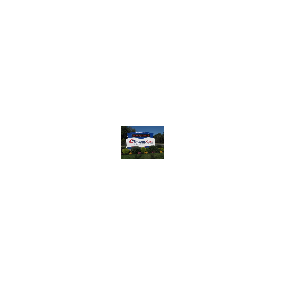